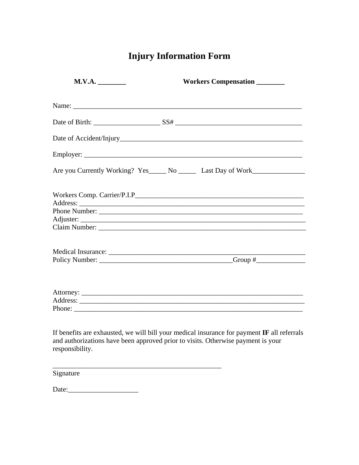## **Injury Information Form**

| M.V.A. | Workers Compensation ________ |
|--------|-------------------------------|
|        |                               |
|        |                               |
|        |                               |
|        |                               |
|        |                               |
|        |                               |
|        |                               |
|        | Phone Number:                 |
|        |                               |
|        |                               |
|        |                               |
|        |                               |
|        |                               |
|        |                               |

and authorizations have been approved prior to visits. Otherwise payment is your responsibility.

 $\overline{\phantom{a}}$ 

| Signature |  |  |
|-----------|--|--|
|           |  |  |
| Date:     |  |  |